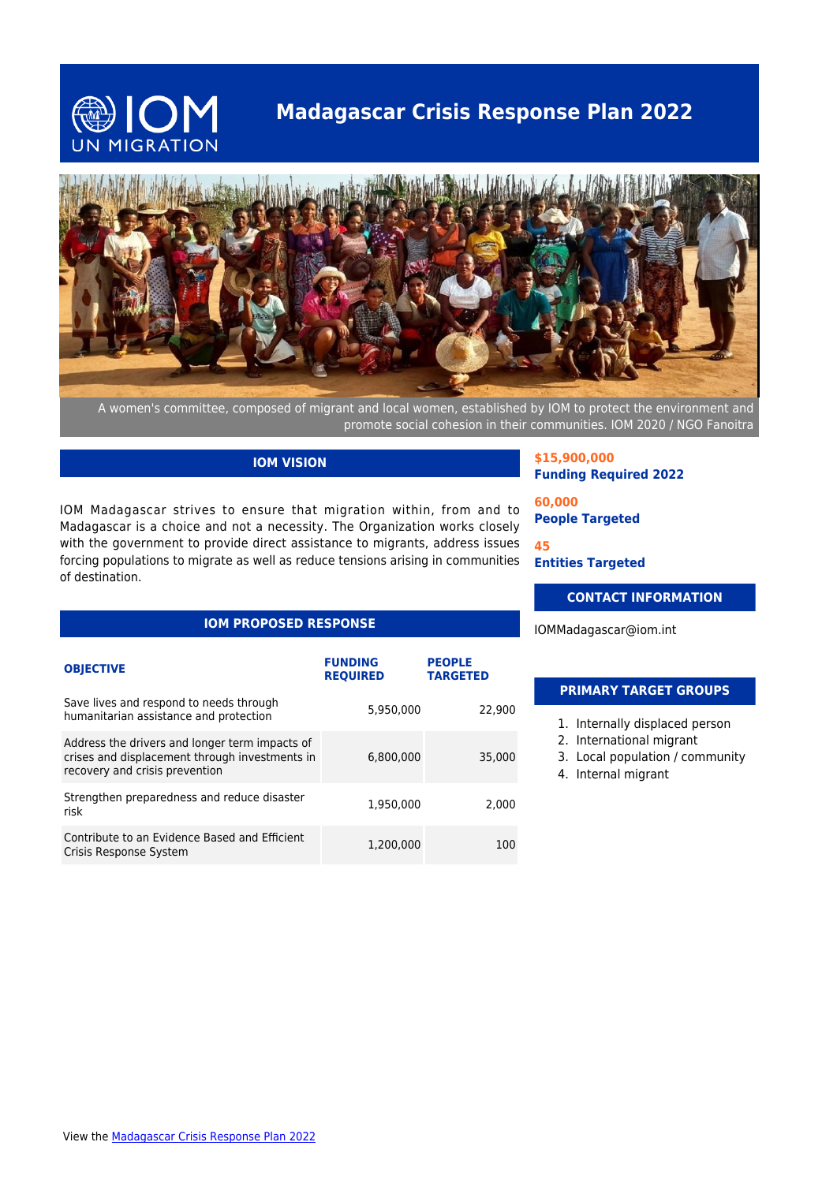

## **Madagascar Crisis Response Plan 2022**



A women's committee, composed of migrant and local women, established by IOM to protect the environment and promote social cohesion in their communities. IOM 2020 / NGO Fanoitra

#### **IOM VISION**

IOM Madagascar strives to ensure that migration within, from and to Madagascar is a choice and not a necessity. The Organization works closely with the government to provide direct assistance to migrants, address issues forcing populations to migrate as well as reduce tensions arising in communities of destination.

### **IOM PROPOSED RESPONSE**

| <b>OBJECTIVE</b>                                                                                                                   | <b>FUNDING</b><br><b>REQUIRED</b> | <b>PEOPLE</b><br><b>TARGETED</b> |
|------------------------------------------------------------------------------------------------------------------------------------|-----------------------------------|----------------------------------|
| Save lives and respond to needs through<br>humanitarian assistance and protection                                                  | 5,950,000                         | 22,900                           |
| Address the drivers and longer term impacts of<br>crises and displacement through investments in<br>recovery and crisis prevention | 6,800,000                         | 35,000                           |
| Strengthen preparedness and reduce disaster<br>risk                                                                                | 1,950,000                         | 2,000                            |
| Contribute to an Evidence Based and Efficient<br>Crisis Response System                                                            | 1,200,000                         | 100                              |

**\$15,900,000 Funding Required 2022**

**60,000 People Targeted**

**45 Entities Targeted**

#### **CONTACT INFORMATION**

IOMMadagascar@iom.int

#### **PRIMARY TARGET GROUPS**

- 1. Internally displaced person
- 2. International migrant
- 3. Local population / community
- 4. Internal migrant